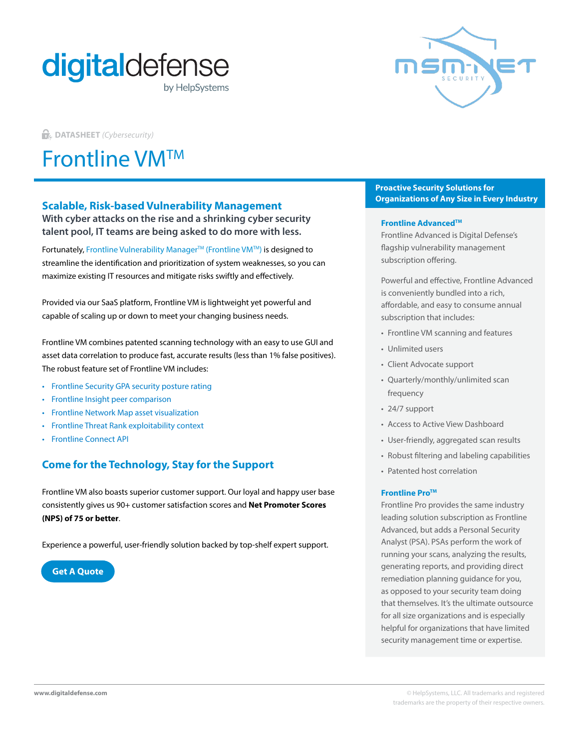



**DATASHEET** *(Cybersecurity)*

# Frontline VMTM

## **Scalable, Risk-based Vulnerability Management**

**With cyber attacks on the rise and a shrinking cyber security talent pool, IT teams are being asked to do more with less.**

Fortunately, Frontline Vulnerability Manager™ (Frontline VM™) is designed to streamline the identification and prioritization of system weaknesses, so you can maximize existing IT resources and mitigate risks swiftly and effectively.

Provided via our SaaS platform, Frontline VM is lightweight yet powerful and capable of scaling up or down to meet your changing business needs.

Frontline VM combines patented scanning technology with an easy to use GUI and asset data correlation to produce fast, accurate results (less than 1% false positives). The robust feature set of Frontline VM includes:

- [Frontline Security GPA security posture rating](https://www.digitaldefense.com/frontline-security-gpa/)
- [Frontline Insight peer comparison](https://www.digitaldefense.com/solution-overview/frontline-cloud-network-map/)
- [Frontline Network Map asset visualization](https://www.digitaldefense.com/frontline-threat-landscape/)
- [Frontline Threat Rank exploitability context](https://www.digitaldefense.com/solution-overview/automate/)
- Frontline Connect API

# **Come for the Technology, Stay for the Support**

Frontline VM also boasts superior customer support. Our loyal and happy user base consistently gives us 90+ customer satisfaction scores and **Net Promoter Scores (NPS) of 75 or better**.

Experience a powerful, user-friendly solution backed by top-shelf expert support.

**[Get A Quote](https://www.digitaldefense.com/get-a-quote/)**

### **Proactive Security Solutions for Organizations of Any Size in Every Industry**

#### **Frontline AdvancedTM**

Frontline Advanced is Digital Defense's flagship vulnerability management subscription offering.

Powerful and effective, Frontline Advanced is conveniently bundled into a rich, affordable, and easy to consume annual subscription that includes:

- Frontline VM scanning and features
- Unlimited users
- Client Advocate support
- Quarterly/monthly/unlimited scan frequency
- 24/7 support
- Access to Active View Dashboard
- User-friendly, aggregated scan results
- Robust filtering and labeling capabilities
- Patented host correlation

#### **Frontline Pro™**

Frontline Pro provides the same industry leading solution subscription as Frontline Advanced, but adds a Personal Security Analyst (PSA). PSAs perform the work of running your scans, analyzing the results, generating reports, and providing direct remediation planning guidance for you, as opposed to your security team doing that themselves. It's the ultimate outsource for all size organizations and is especially helpful for organizations that have limited security management time or expertise.